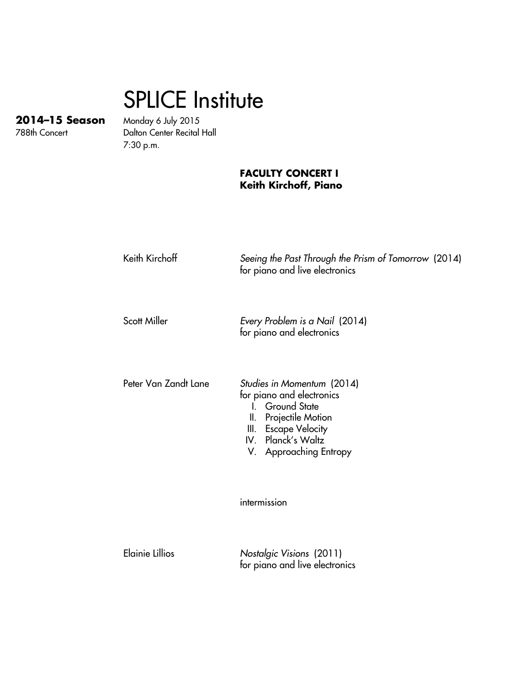## SPLICE Institute

**2014–15 Season** Monday 6 July 2015 Dalton Center Recital Hall 7:30 p.m.

## **FACULTY CONCERT I Keith Kirchoff, Piano**

| Keith Kirchoff         | Seeing the Past Through the Prism of Tomorrow (2014)<br>for piano and live electronics                                                                                                       |
|------------------------|----------------------------------------------------------------------------------------------------------------------------------------------------------------------------------------------|
| Scott Miller           | Every Problem is a Nail (2014)<br>for piano and electronics                                                                                                                                  |
| Peter Van Zandt Lane   | Studies in Momentum (2014)<br>for piano and electronics<br>I. Ground State<br><b>Projectile Motion</b><br>Ⅱ.<br><b>Escape Velocity</b><br>Ш.<br>IV. Planck's Waltz<br>V. Approaching Entropy |
|                        | intermission                                                                                                                                                                                 |
| <b>Elainie Lillios</b> | Nostalgic Visions (2011)<br>for piano and live electronics                                                                                                                                   |